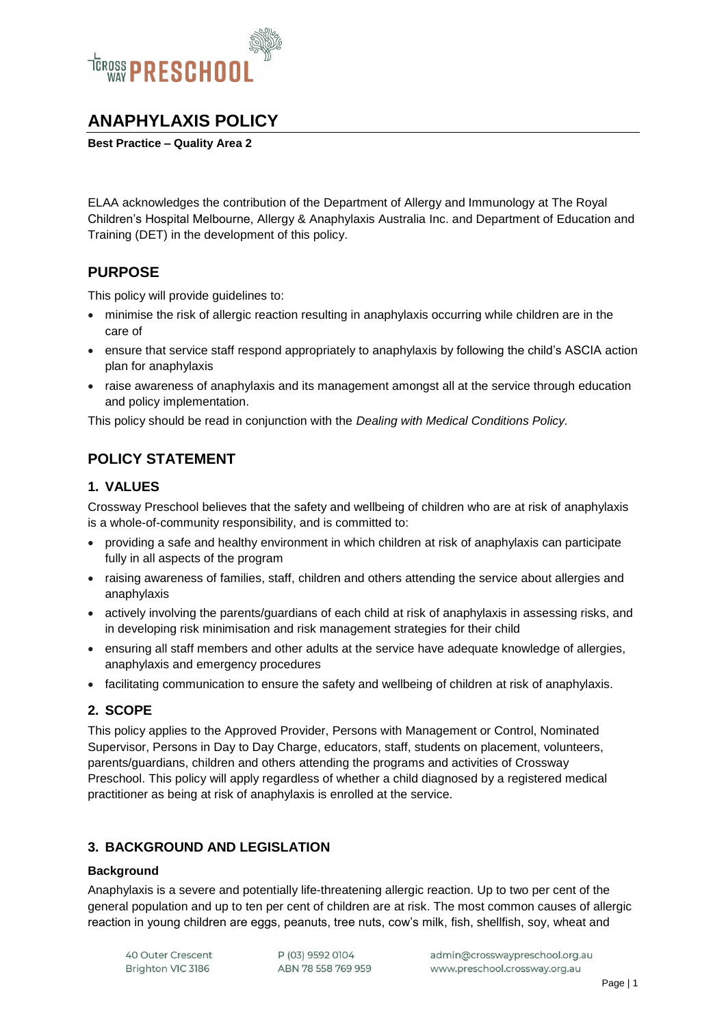

# **ANAPHYLAXIS POLICY**

**Best Practice – Quality Area 2**

ELAA acknowledges the contribution of the Department of Allergy and Immunology at The Royal Children's Hospital Melbourne, Allergy & Anaphylaxis Australia Inc. and Department of Education and Training (DET) in the development of this policy.

#### **PURPOSE**

This policy will provide guidelines to:

- minimise the risk of allergic reaction resulting in anaphylaxis occurring while children are in the care of
- ensure that service staff respond appropriately to anaphylaxis by following the child's ASCIA action plan for anaphylaxis
- raise awareness of anaphylaxis and its management amongst all at the service through education and policy implementation.

This policy should be read in conjunction with the *Dealing with Medical Conditions Policy.*

# **POLICY STATEMENT**

#### **1. VALUES**

Crossway Preschool believes that the safety and wellbeing of children who are at risk of anaphylaxis is a whole-of-community responsibility, and is committed to:

- providing a safe and healthy environment in which children at risk of anaphylaxis can participate fully in all aspects of the program
- raising awareness of families, staff, children and others attending the service about allergies and anaphylaxis
- actively involving the parents/guardians of each child at risk of anaphylaxis in assessing risks, and in developing risk minimisation and risk management strategies for their child
- ensuring all staff members and other adults at the service have adequate knowledge of allergies, anaphylaxis and emergency procedures
- facilitating communication to ensure the safety and wellbeing of children at risk of anaphylaxis.

#### **2. SCOPE**

This policy applies to the Approved Provider, Persons with Management or Control, Nominated Supervisor, Persons in Day to Day Charge, educators, staff, students on placement, volunteers, parents/guardians, children and others attending the programs and activities of Crossway Preschool. This policy will apply regardless of whether a child diagnosed by a registered medical practitioner as being at risk of anaphylaxis is enrolled at the service.

#### **3. BACKGROUND AND LEGISLATION**

#### **Background**

Anaphylaxis is a severe and potentially life-threatening allergic reaction. Up to two per cent of the general population and up to ten per cent of children are at risk. The most common causes of allergic reaction in young children are eggs, peanuts, tree nuts, cow's milk, fish, shellfish, soy, wheat and

40 Outer Crescent Brighton VIC 3186

P (03) 9592 0104 ABN 78 558 769 959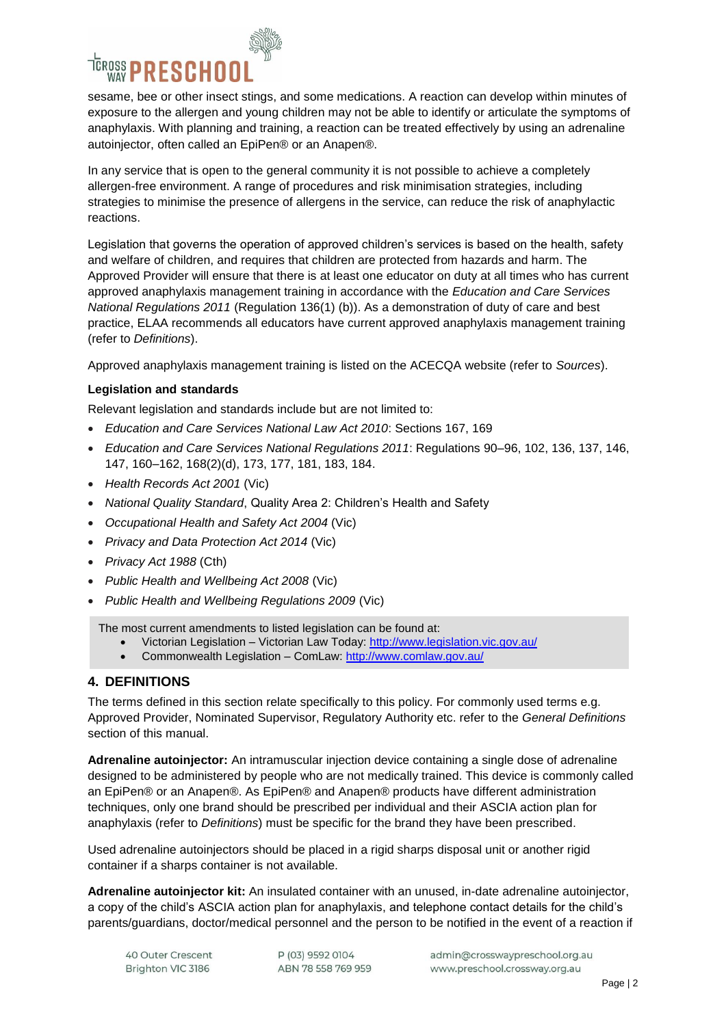

sesame, bee or other insect stings, and some medications. A reaction can develop within minutes of exposure to the allergen and young children may not be able to identify or articulate the symptoms of anaphylaxis. With planning and training, a reaction can be treated effectively by using an adrenaline autoinjector, often called an EpiPen® or an Anapen®.

In any service that is open to the general community it is not possible to achieve a completely allergen-free environment. A range of procedures and risk minimisation strategies, including strategies to minimise the presence of allergens in the service, can reduce the risk of anaphylactic reactions.

Legislation that governs the operation of approved children's services is based on the health, safety and welfare of children, and requires that children are protected from hazards and harm. The Approved Provider will ensure that there is at least one educator on duty at all times who has current approved anaphylaxis management training in accordance with the *Education and Care Services National Regulations 2011* (Regulation 136(1) (b)). As a demonstration of duty of care and best practice, ELAA recommends all educators have current approved anaphylaxis management training (refer to *Definitions*).

Approved anaphylaxis management training is listed on the ACECQA website (refer to *Sources*).

#### **Legislation and standards**

Relevant legislation and standards include but are not limited to:

- *Education and Care Services National Law Act 2010*: Sections 167, 169
- *Education and Care Services National Regulations 2011*: Regulations 90–96, 102, 136, 137, 146, 147, 160–162, 168(2)(d), 173, 177, 181, 183, 184.
- *Health Records Act 2001* (Vic)
- *National Quality Standard*, Quality Area 2: Children's Health and Safety
- *Occupational Health and Safety Act 2004* (Vic)
- *Privacy and Data Protection Act 2014* (Vic)
- *Privacy Act 1988* (Cth)
- *Public Health and Wellbeing Act 2008* (Vic)
- *Public Health and Wellbeing Regulations 2009* (Vic)

The most current amendments to listed legislation can be found at:

- Victorian Legislation Victorian Law Today:<http://www.legislation.vic.gov.au/>
- Commonwealth Legislation ComLaw:<http://www.comlaw.gov.au/>

#### **4. DEFINITIONS**

The terms defined in this section relate specifically to this policy. For commonly used terms e.g. Approved Provider, Nominated Supervisor, Regulatory Authority etc. refer to the *General Definitions* section of this manual.

**Adrenaline autoinjector:** An intramuscular injection device containing a single dose of adrenaline designed to be administered by people who are not medically trained. This device is commonly called an EpiPen® or an Anapen®. As EpiPen® and Anapen® products have different administration techniques, only one brand should be prescribed per individual and their ASCIA action plan for anaphylaxis (refer to *Definitions*) must be specific for the brand they have been prescribed.

Used adrenaline autoinjectors should be placed in a rigid sharps disposal unit or another rigid container if a sharps container is not available.

**Adrenaline autoinjector kit:** An insulated container with an unused, in-date adrenaline autoinjector, a copy of the child's ASCIA action plan for anaphylaxis, and telephone contact details for the child's parents/guardians, doctor/medical personnel and the person to be notified in the event of a reaction if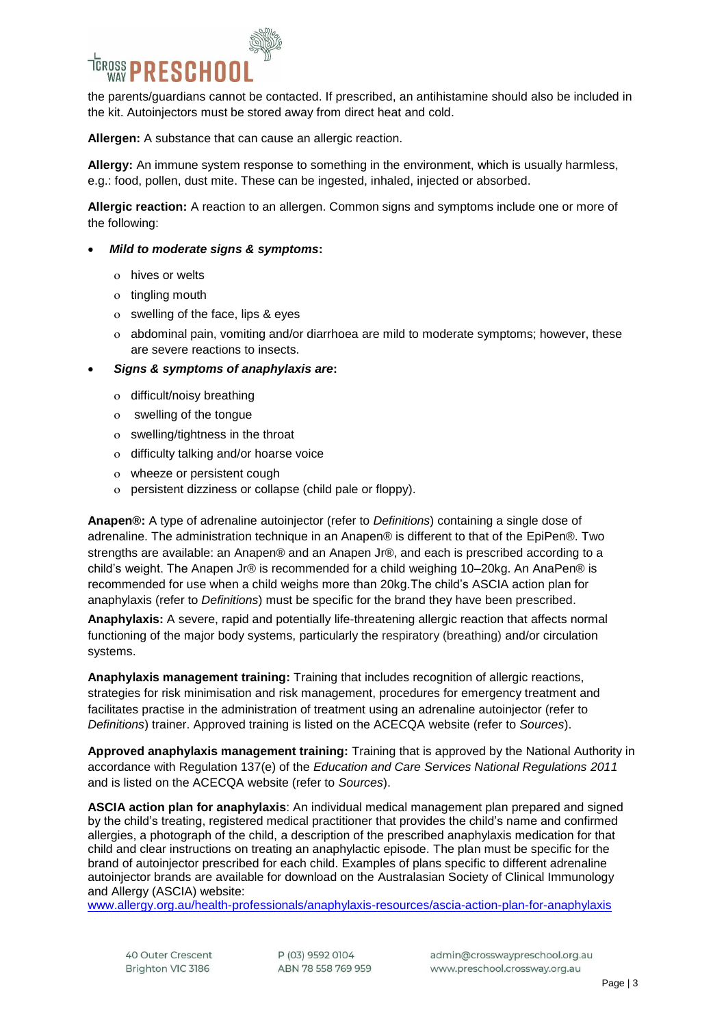

the parents/guardians cannot be contacted. If prescribed, an antihistamine should also be included in the kit. Autoinjectors must be stored away from direct heat and cold.

**Allergen:** A substance that can cause an allergic reaction.

**Allergy:** An immune system response to something in the environment, which is usually harmless, e.g.: food, pollen, dust mite. These can be ingested, inhaled, injected or absorbed.

**Allergic reaction:** A reaction to an allergen. Common signs and symptoms include one or more of the following:

- *Mild to moderate signs & symptoms***:**
	- o hives or welts
	- o tingling mouth
	- swelling of the face, lips & eyes
	- abdominal pain, vomiting and/or diarrhoea are mild to moderate symptoms; however, these are severe reactions to insects.
- *Signs & symptoms of anaphylaxis are***:**
	- o difficult/noisy breathing
	- swelling of the tongue
	- swelling/tightness in the throat
	- o difficulty talking and/or hoarse voice
	- wheeze or persistent cough
	- persistent dizziness or collapse (child pale or floppy).

**Anapen®:** A type of adrenaline autoinjector (refer to *Definitions*) containing a single dose of adrenaline. The administration technique in an Anapen® is different to that of the EpiPen®. Two strengths are available: an Anapen® and an Anapen Jr®, and each is prescribed according to a child's weight. The Anapen Jr® is recommended for a child weighing 10–20kg. An AnaPen® is recommended for use when a child weighs more than 20kg.The child's ASCIA action plan for anaphylaxis (refer to *Definitions*) must be specific for the brand they have been prescribed.

**Anaphylaxis:** A severe, rapid and potentially life-threatening allergic reaction that affects normal functioning of the major body systems, particularly the respiratory (breathing) and/or circulation systems.

**Anaphylaxis management training:** Training that includes recognition of allergic reactions, strategies for risk minimisation and risk management, procedures for emergency treatment and facilitates practise in the administration of treatment using an adrenaline autoinjector (refer to *Definitions*) trainer. Approved training is listed on the ACECQA website (refer to *Sources*).

**Approved anaphylaxis management training:** Training that is approved by the National Authority in accordance with Regulation 137(e) of the *Education and Care Services National Regulations 2011* and is listed on the ACECQA website (refer to *Sources*).

**ASCIA action plan for anaphylaxis**: An individual medical management plan prepared and signed by the child's treating, registered medical practitioner that provides the child's name and confirmed allergies, a photograph of the child, a description of the prescribed anaphylaxis medication for that child and clear instructions on treating an anaphylactic episode. The plan must be specific for the brand of autoinjector prescribed for each child. Examples of plans specific to different adrenaline autoinjector brands are available for download on the Australasian Society of Clinical Immunology and Allergy (ASCIA) website:

[www.allergy.org.au/health-professionals/anaphylaxis-resources/ascia-action-plan-for-anaphylaxis](http://www.allergy.org.au/health-professionals/anaphylaxis-resources/ascia-action-plan-for-anaphylaxis)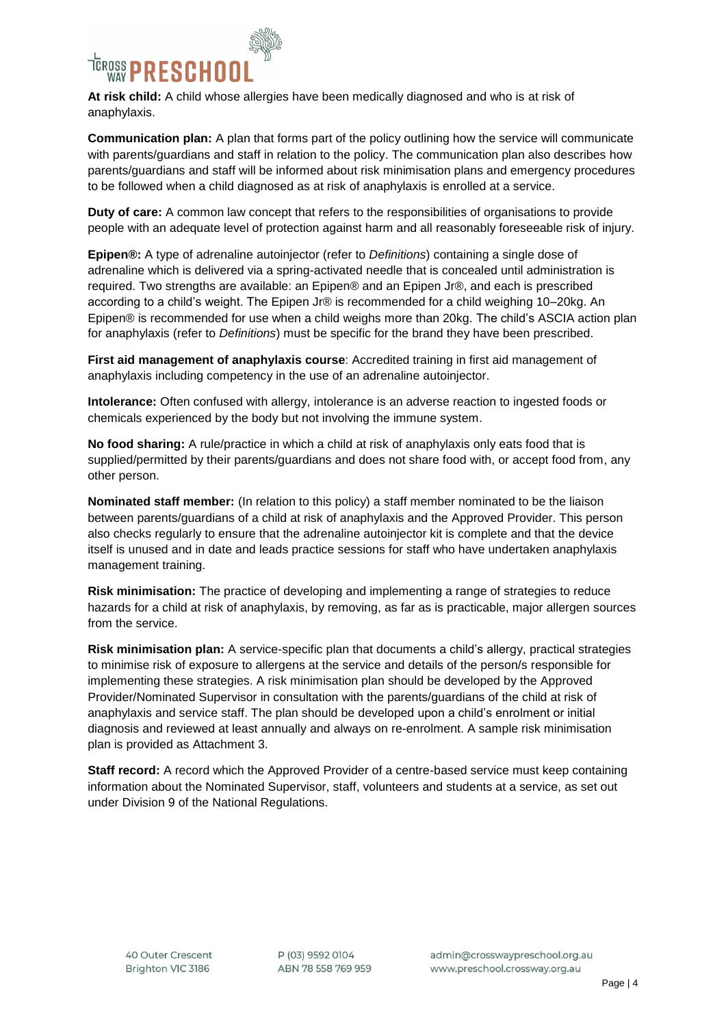

**At risk child:** A child whose allergies have been medically diagnosed and who is at risk of anaphylaxis.

**Communication plan:** A plan that forms part of the policy outlining how the service will communicate with parents/guardians and staff in relation to the policy. The communication plan also describes how parents/guardians and staff will be informed about risk minimisation plans and emergency procedures to be followed when a child diagnosed as at risk of anaphylaxis is enrolled at a service.

**Duty of care:** A common law concept that refers to the responsibilities of organisations to provide people with an adequate level of protection against harm and all reasonably foreseeable risk of injury.

**Epipen®:** A type of adrenaline autoinjector (refer to *Definitions*) containing a single dose of adrenaline which is delivered via a spring-activated needle that is concealed until administration is required. Two strengths are available: an Epipen® and an Epipen Jr®, and each is prescribed according to a child's weight. The Epipen Jr® is recommended for a child weighing 10–20kg. An Epipen® is recommended for use when a child weighs more than 20kg. The child's ASCIA action plan for anaphylaxis (refer to *Definitions*) must be specific for the brand they have been prescribed.

**First aid management of anaphylaxis course**: Accredited training in first aid management of anaphylaxis including competency in the use of an adrenaline autoinjector.

**Intolerance:** Often confused with allergy, intolerance is an adverse reaction to ingested foods or chemicals experienced by the body but not involving the immune system.

**No food sharing:** A rule/practice in which a child at risk of anaphylaxis only eats food that is supplied/permitted by their parents/guardians and does not share food with, or accept food from, any other person.

**Nominated staff member:** (In relation to this policy) a staff member nominated to be the liaison between parents/guardians of a child at risk of anaphylaxis and the Approved Provider. This person also checks regularly to ensure that the adrenaline autoinjector kit is complete and that the device itself is unused and in date and leads practice sessions for staff who have undertaken anaphylaxis management training.

**Risk minimisation:** The practice of developing and implementing a range of strategies to reduce hazards for a child at risk of anaphylaxis, by removing, as far as is practicable, major allergen sources from the service.

**Risk minimisation plan:** A service-specific plan that documents a child's allergy, practical strategies to minimise risk of exposure to allergens at the service and details of the person/s responsible for implementing these strategies. A risk minimisation plan should be developed by the Approved Provider/Nominated Supervisor in consultation with the parents/guardians of the child at risk of anaphylaxis and service staff. The plan should be developed upon a child's enrolment or initial diagnosis and reviewed at least annually and always on re-enrolment. A sample risk minimisation plan is provided as Attachment 3.

**Staff record:** A record which the Approved Provider of a centre-based service must keep containing information about the Nominated Supervisor, staff, volunteers and students at a service, as set out under Division 9 of the National Regulations.

P (03) 9592 0104 ABN 78 558 769 959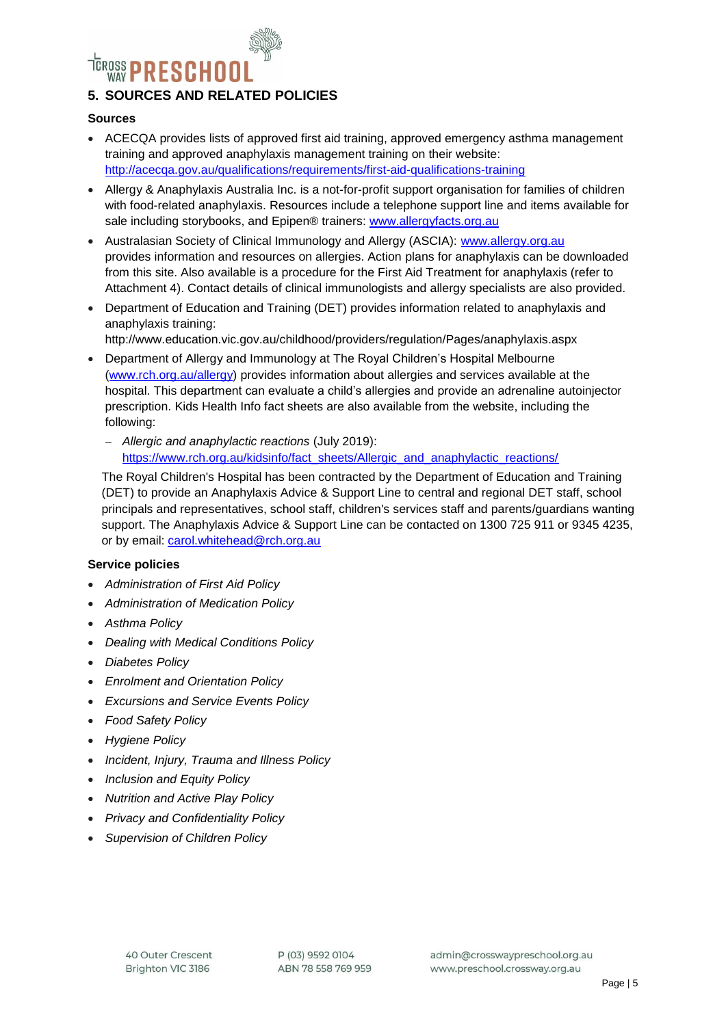# RESCHOO

## **5. SOURCES AND RELATED POLICIES**

#### **Sources**

- ACECQA provides lists of approved first aid training, approved emergency asthma management training and approved anaphylaxis management training on their website: <http://acecqa.gov.au/qualifications/requirements/first-aid-qualifications-training>
- Allergy & Anaphylaxis Australia Inc. is a not-for-profit support organisation for families of children with food-related anaphylaxis. Resources include a telephone support line and items available for sale including storybooks, and Epipen® trainers: [www.allergyfacts.org.au](http://www.allergyfacts.org.au/)
- Australasian Society of Clinical Immunology and Allergy (ASCIA): [www.allergy.org.au](http://www.allergy.org.au/) provides information and resources on allergies. Action plans for anaphylaxis can be downloaded from this site. Also available is a procedure for the First Aid Treatment for anaphylaxis (refer to Attachment 4). Contact details of clinical immunologists and allergy specialists are also provided.
- Department of Education and Training (DET) provides information related to anaphylaxis and anaphylaxis training:

http://www.education.vic.gov.au/childhood/providers/regulation/Pages/anaphylaxis.aspx

- Department of Allergy and Immunology at The Royal Children's Hospital Melbourne [\(www.rch.org.au/allergy\)](http://www.rch.org.au/allergy) provides information about allergies and services available at the hospital. This department can evaluate a child's allergies and provide an adrenaline autoinjector prescription. Kids Health Info fact sheets are also available from the website, including the following:
	- *Allergic and anaphylactic reactions* (July 2019): [https://www.rch.org.au/kidsinfo/fact\\_sheets/Allergic\\_and\\_anaphylactic\\_reactions/](https://www.rch.org.au/kidsinfo/fact_sheets/Allergic_and_anaphylactic_reactions/)

The Royal Children's Hospital has been contracted by the Department of Education and Training (DET) to provide an Anaphylaxis Advice & Support Line to central and regional DET staff, school principals and representatives, school staff, children's services staff and parents/guardians wanting support. The Anaphylaxis Advice & Support Line can be contacted on 1300 725 911 or 9345 4235, or by email: [carol.whitehead@rch.org.au](mailto:carol.whitehead@rch.org.au)

#### **Service policies**

- *Administration of First Aid Policy*
- *Administration of Medication Policy*
- *Asthma Policy*
- *Dealing with Medical Conditions Policy*
- *Diabetes Policy*
- *Enrolment and Orientation Policy*
- *Excursions and Service Events Policy*
- *Food Safety Policy*
- *Hygiene Policy*
- *Incident, Injury, Trauma and Illness Policy*
- *Inclusion and Equity Policy*
- *Nutrition and Active Play Policy*
- *Privacy and Confidentiality Policy*
- *Supervision of Children Policy*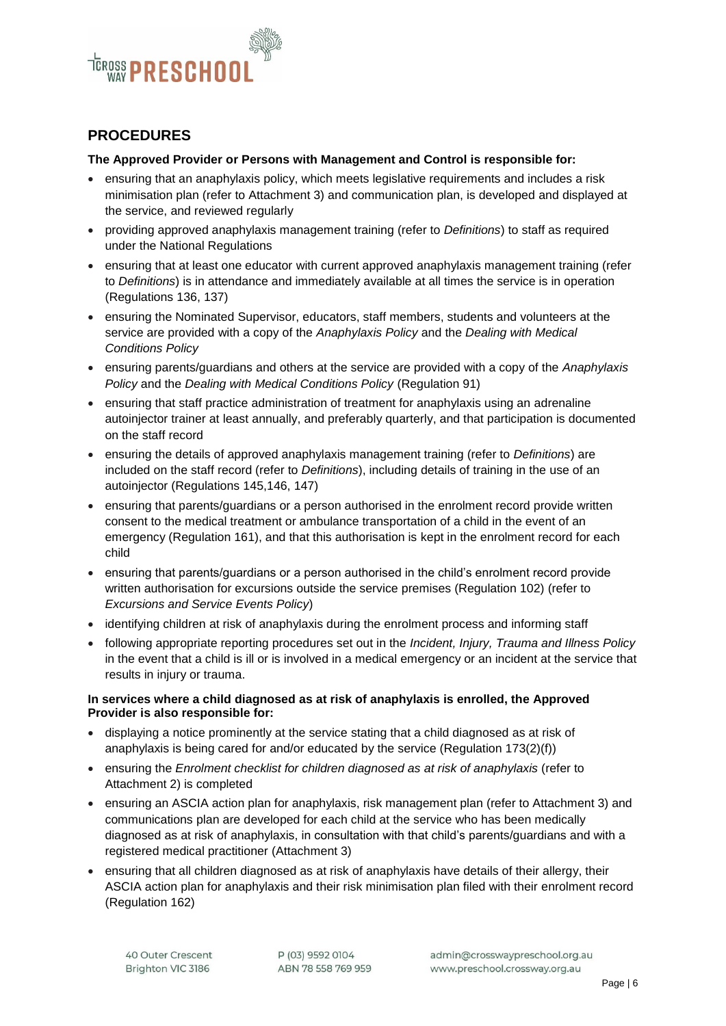

## **PROCEDURES**

#### **The Approved Provider or Persons with Management and Control is responsible for:**

- ensuring that an anaphylaxis policy, which meets legislative requirements and includes a risk minimisation plan (refer to Attachment 3) and communication plan, is developed and displayed at the service, and reviewed regularly
- providing approved anaphylaxis management training (refer to *Definitions*) to staff as required under the National Regulations
- ensuring that at least one educator with current approved anaphylaxis management training (refer to *Definitions*) is in attendance and immediately available at all times the service is in operation (Regulations 136, 137)
- ensuring the Nominated Supervisor, educators, staff members, students and volunteers at the service are provided with a copy of the *Anaphylaxis Policy* and the *Dealing with Medical Conditions Policy*
- ensuring parents/guardians and others at the service are provided with a copy of the *Anaphylaxis Policy* and the *Dealing with Medical Conditions Policy* (Regulation 91)
- ensuring that staff practice administration of treatment for anaphylaxis using an adrenaline autoinjector trainer at least annually, and preferably quarterly, and that participation is documented on the staff record
- ensuring the details of approved anaphylaxis management training (refer to *Definitions*) are included on the staff record (refer to *Definitions*), including details of training in the use of an autoinjector (Regulations 145,146, 147)
- ensuring that parents/guardians or a person authorised in the enrolment record provide written consent to the medical treatment or ambulance transportation of a child in the event of an emergency (Regulation 161), and that this authorisation is kept in the enrolment record for each child
- ensuring that parents/guardians or a person authorised in the child's enrolment record provide written authorisation for excursions outside the service premises (Regulation 102) (refer to *Excursions and Service Events Policy*)
- identifying children at risk of anaphylaxis during the enrolment process and informing staff
- following appropriate reporting procedures set out in the *Incident, Injury, Trauma and Illness Policy* in the event that a child is ill or is involved in a medical emergency or an incident at the service that results in injury or trauma.

#### **In services where a child diagnosed as at risk of anaphylaxis is enrolled, the Approved Provider is also responsible for:**

- displaying a notice prominently at the service stating that a child diagnosed as at risk of anaphylaxis is being cared for and/or educated by the service (Regulation 173(2)(f))
- ensuring the *Enrolment checklist for children diagnosed as at risk of anaphylaxis* (refer to Attachment 2) is completed
- ensuring an ASCIA action plan for anaphylaxis, risk management plan (refer to Attachment 3) and communications plan are developed for each child at the service who has been medically diagnosed as at risk of anaphylaxis, in consultation with that child's parents/guardians and with a registered medical practitioner (Attachment 3)
- ensuring that all children diagnosed as at risk of anaphylaxis have details of their allergy, their ASCIA action plan for anaphylaxis and their risk minimisation plan filed with their enrolment record (Regulation 162)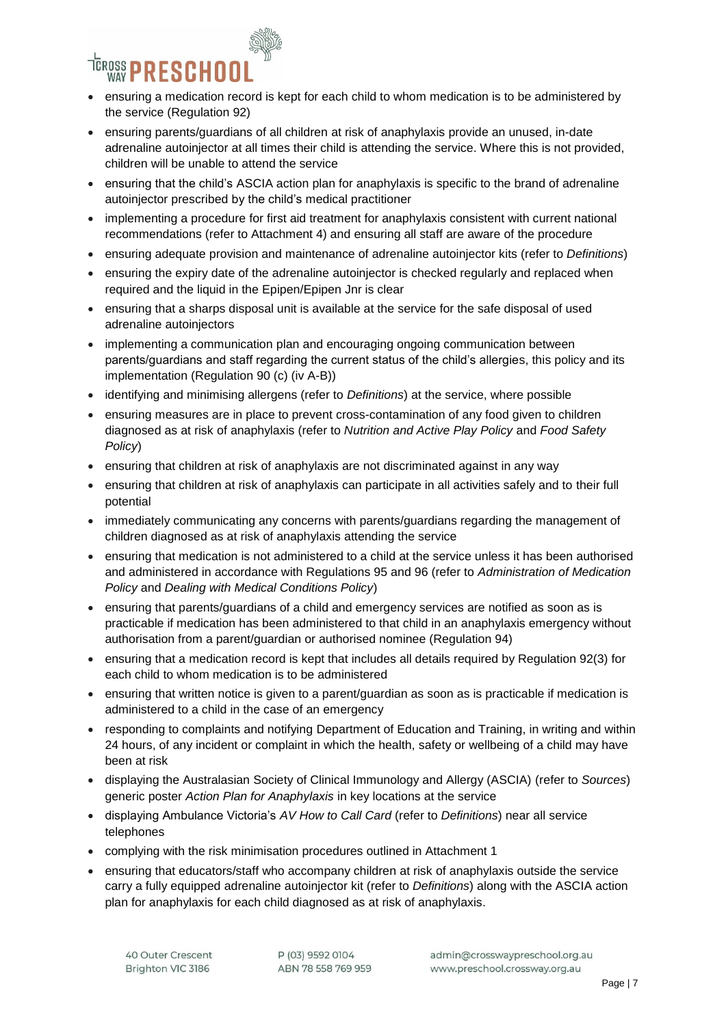

- ensuring a medication record is kept for each child to whom medication is to be administered by the service (Regulation 92)
- ensuring parents/guardians of all children at risk of anaphylaxis provide an unused, in-date adrenaline autoinjector at all times their child is attending the service. Where this is not provided, children will be unable to attend the service
- ensuring that the child's ASCIA action plan for anaphylaxis is specific to the brand of adrenaline autoinjector prescribed by the child's medical practitioner
- implementing a procedure for first aid treatment for anaphylaxis consistent with current national recommendations (refer to Attachment 4) and ensuring all staff are aware of the procedure
- ensuring adequate provision and maintenance of adrenaline autoinjector kits (refer to *Definitions*)
- ensuring the expiry date of the adrenaline autoinjector is checked regularly and replaced when required and the liquid in the Epipen/Epipen Jnr is clear
- ensuring that a sharps disposal unit is available at the service for the safe disposal of used adrenaline autoinjectors
- implementing a communication plan and encouraging ongoing communication between parents/guardians and staff regarding the current status of the child's allergies, this policy and its implementation (Regulation 90 (c) (iv A-B))
- identifying and minimising allergens (refer to *Definitions*) at the service, where possible
- ensuring measures are in place to prevent cross-contamination of any food given to children diagnosed as at risk of anaphylaxis (refer to *Nutrition and Active Play Policy* and *Food Safety Policy*)
- ensuring that children at risk of anaphylaxis are not discriminated against in any way
- ensuring that children at risk of anaphylaxis can participate in all activities safely and to their full potential
- immediately communicating any concerns with parents/guardians regarding the management of children diagnosed as at risk of anaphylaxis attending the service
- ensuring that medication is not administered to a child at the service unless it has been authorised and administered in accordance with Regulations 95 and 96 (refer to *Administration of Medication Policy* and *Dealing with Medical Conditions Policy*)
- ensuring that parents/guardians of a child and emergency services are notified as soon as is practicable if medication has been administered to that child in an anaphylaxis emergency without authorisation from a parent/guardian or authorised nominee (Regulation 94)
- ensuring that a medication record is kept that includes all details required by Regulation 92(3) for each child to whom medication is to be administered
- ensuring that written notice is given to a parent/guardian as soon as is practicable if medication is administered to a child in the case of an emergency
- responding to complaints and notifying Department of Education and Training, in writing and within 24 hours, of any incident or complaint in which the health, safety or wellbeing of a child may have been at risk
- displaying the Australasian Society of Clinical Immunology and Allergy (ASCIA) (refer to *Sources*) generic poster *Action Plan for Anaphylaxis* in key locations at the service
- displaying Ambulance Victoria's *AV How to Call Card* (refer to *Definitions*) near all service telephones
- complying with the risk minimisation procedures outlined in Attachment 1
- ensuring that educators/staff who accompany children at risk of anaphylaxis outside the service carry a fully equipped adrenaline autoinjector kit (refer to *Definitions*) along with the ASCIA action plan for anaphylaxis for each child diagnosed as at risk of anaphylaxis.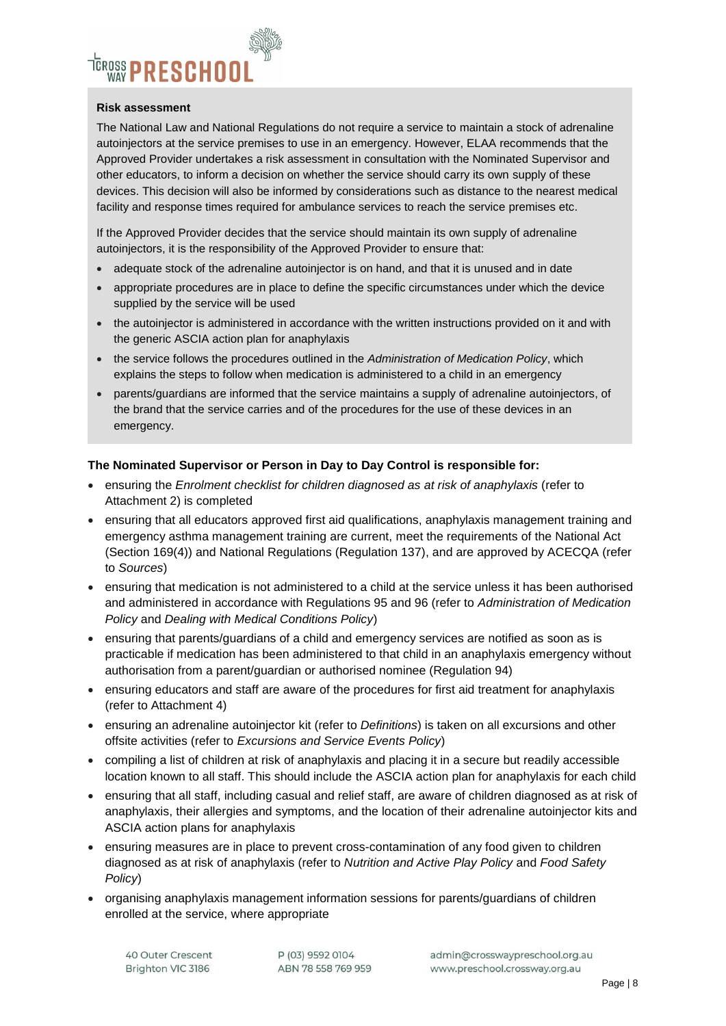# <sup>TEROSS</sup> PRESCHOO

#### **Risk assessment**

The National Law and National Regulations do not require a service to maintain a stock of adrenaline autoinjectors at the service premises to use in an emergency. However, ELAA recommends that the Approved Provider undertakes a risk assessment in consultation with the Nominated Supervisor and other educators, to inform a decision on whether the service should carry its own supply of these devices. This decision will also be informed by considerations such as distance to the nearest medical facility and response times required for ambulance services to reach the service premises etc.

If the Approved Provider decides that the service should maintain its own supply of adrenaline autoinjectors, it is the responsibility of the Approved Provider to ensure that:

- adequate stock of the adrenaline autoinjector is on hand, and that it is unused and in date
- appropriate procedures are in place to define the specific circumstances under which the device supplied by the service will be used
- the autoinjector is administered in accordance with the written instructions provided on it and with the generic ASCIA action plan for anaphylaxis
- the service follows the procedures outlined in the *Administration of Medication Policy*, which explains the steps to follow when medication is administered to a child in an emergency
- parents/guardians are informed that the service maintains a supply of adrenaline autoinjectors, of the brand that the service carries and of the procedures for the use of these devices in an emergency.

#### **The Nominated Supervisor or Person in Day to Day Control is responsible for:**

- ensuring the *Enrolment checklist for children diagnosed as at risk of anaphylaxis* (refer to Attachment 2) is completed
- ensuring that all educators approved first aid qualifications, anaphylaxis management training and emergency asthma management training are current, meet the requirements of the National Act (Section 169(4)) and National Regulations (Regulation 137), and are approved by ACECQA (refer to *Sources*)
- ensuring that medication is not administered to a child at the service unless it has been authorised and administered in accordance with Regulations 95 and 96 (refer to *Administration of Medication Policy* and *Dealing with Medical Conditions Policy*)
- ensuring that parents/guardians of a child and emergency services are notified as soon as is practicable if medication has been administered to that child in an anaphylaxis emergency without authorisation from a parent/guardian or authorised nominee (Regulation 94)
- ensuring educators and staff are aware of the procedures for first aid treatment for anaphylaxis (refer to Attachment 4)
- ensuring an adrenaline autoinjector kit (refer to *Definitions*) is taken on all excursions and other offsite activities (refer to *Excursions and Service Events Policy*)
- compiling a list of children at risk of anaphylaxis and placing it in a secure but readily accessible location known to all staff. This should include the ASCIA action plan for anaphylaxis for each child
- ensuring that all staff, including casual and relief staff, are aware of children diagnosed as at risk of anaphylaxis, their allergies and symptoms, and the location of their adrenaline autoinjector kits and ASCIA action plans for anaphylaxis
- ensuring measures are in place to prevent cross-contamination of any food given to children diagnosed as at risk of anaphylaxis (refer to *Nutrition and Active Play Policy* and *Food Safety Policy*)
- organising anaphylaxis management information sessions for parents/guardians of children enrolled at the service, where appropriate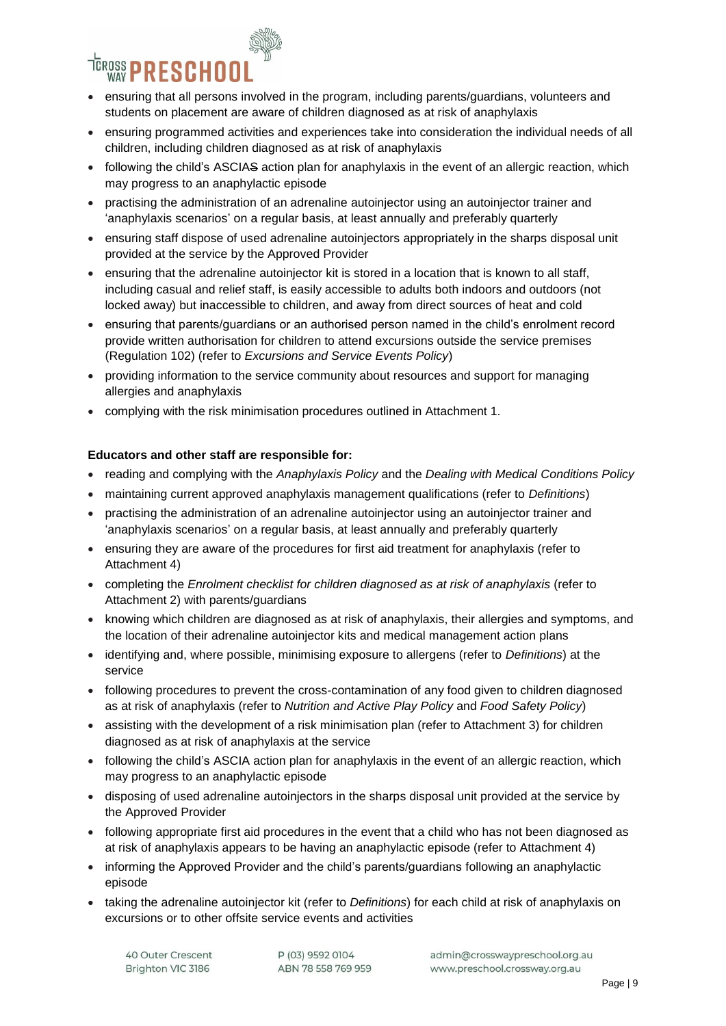

- ensuring that all persons involved in the program, including parents/guardians, volunteers and students on placement are aware of children diagnosed as at risk of anaphylaxis
- ensuring programmed activities and experiences take into consideration the individual needs of all children, including children diagnosed as at risk of anaphylaxis
- following the child's ASCIAS action plan for anaphylaxis in the event of an allergic reaction, which may progress to an anaphylactic episode
- practising the administration of an adrenaline autoinjector using an autoinjector trainer and 'anaphylaxis scenarios' on a regular basis, at least annually and preferably quarterly
- ensuring staff dispose of used adrenaline autoinjectors appropriately in the sharps disposal unit provided at the service by the Approved Provider
- ensuring that the adrenaline autoinjector kit is stored in a location that is known to all staff, including casual and relief staff, is easily accessible to adults both indoors and outdoors (not locked away) but inaccessible to children, and away from direct sources of heat and cold
- ensuring that parents/guardians or an authorised person named in the child's enrolment record provide written authorisation for children to attend excursions outside the service premises (Regulation 102) (refer to *Excursions and Service Events Policy*)
- providing information to the service community about resources and support for managing allergies and anaphylaxis
- complying with the risk minimisation procedures outlined in Attachment 1.

#### **Educators and other staff are responsible for:**

- reading and complying with the *Anaphylaxis Policy* and the *Dealing with Medical Conditions Policy*
- maintaining current approved anaphylaxis management qualifications (refer to *Definitions*)
- practising the administration of an adrenaline autoinjector using an autoinjector trainer and 'anaphylaxis scenarios' on a regular basis, at least annually and preferably quarterly
- ensuring they are aware of the procedures for first aid treatment for anaphylaxis (refer to Attachment 4)
- completing the *Enrolment checklist for children diagnosed as at risk of anaphylaxis* (refer to Attachment 2) with parents/guardians
- knowing which children are diagnosed as at risk of anaphylaxis, their allergies and symptoms, and the location of their adrenaline autoinjector kits and medical management action plans
- identifying and, where possible, minimising exposure to allergens (refer to *Definitions*) at the service
- following procedures to prevent the cross-contamination of any food given to children diagnosed as at risk of anaphylaxis (refer to *Nutrition and Active Play Policy* and *Food Safety Policy*)
- assisting with the development of a risk minimisation plan (refer to Attachment 3) for children diagnosed as at risk of anaphylaxis at the service
- following the child's ASCIA action plan for anaphylaxis in the event of an allergic reaction, which may progress to an anaphylactic episode
- disposing of used adrenaline autoinjectors in the sharps disposal unit provided at the service by the Approved Provider
- following appropriate first aid procedures in the event that a child who has not been diagnosed as at risk of anaphylaxis appears to be having an anaphylactic episode (refer to Attachment 4)
- informing the Approved Provider and the child's parents/guardians following an anaphylactic episode
- taking the adrenaline autoinjector kit (refer to *Definitions*) for each child at risk of anaphylaxis on excursions or to other offsite service events and activities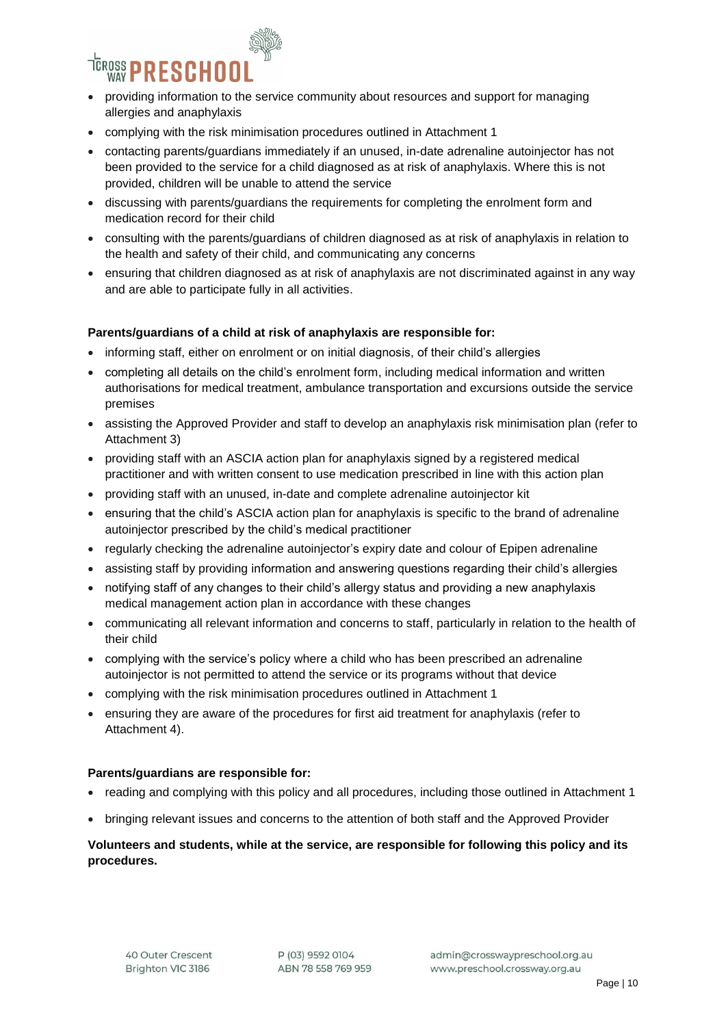

- providing information to the service community about resources and support for managing allergies and anaphylaxis
- complying with the risk minimisation procedures outlined in Attachment 1
- contacting parents/guardians immediately if an unused, in-date adrenaline autoinjector has not been provided to the service for a child diagnosed as at risk of anaphylaxis. Where this is not provided, children will be unable to attend the service
- discussing with parents/guardians the requirements for completing the enrolment form and medication record for their child
- consulting with the parents/guardians of children diagnosed as at risk of anaphylaxis in relation to the health and safety of their child, and communicating any concerns
- ensuring that children diagnosed as at risk of anaphylaxis are not discriminated against in any way and are able to participate fully in all activities.

#### **Parents/guardians of a child at risk of anaphylaxis are responsible for:**

- informing staff, either on enrolment or on initial diagnosis, of their child's allergies
- completing all details on the child's enrolment form, including medical information and written authorisations for medical treatment, ambulance transportation and excursions outside the service premises
- assisting the Approved Provider and staff to develop an anaphylaxis risk minimisation plan (refer to Attachment 3)
- providing staff with an ASCIA action plan for anaphylaxis signed by a registered medical practitioner and with written consent to use medication prescribed in line with this action plan
- providing staff with an unused, in-date and complete adrenaline autoinjector kit
- ensuring that the child's ASCIA action plan for anaphylaxis is specific to the brand of adrenaline autoinjector prescribed by the child's medical practitioner
- regularly checking the adrenaline autoinjector's expiry date and colour of Epipen adrenaline
- assisting staff by providing information and answering questions regarding their child's allergies
- notifying staff of any changes to their child's allergy status and providing a new anaphylaxis medical management action plan in accordance with these changes
- communicating all relevant information and concerns to staff, particularly in relation to the health of their child
- complying with the service's policy where a child who has been prescribed an adrenaline autoinjector is not permitted to attend the service or its programs without that device
- complying with the risk minimisation procedures outlined in Attachment 1
- ensuring they are aware of the procedures for first aid treatment for anaphylaxis (refer to Attachment 4).

#### **Parents/guardians are responsible for:**

- reading and complying with this policy and all procedures, including those outlined in Attachment 1
- bringing relevant issues and concerns to the attention of both staff and the Approved Provider

#### **Volunteers and students, while at the service, are responsible for following this policy and its procedures.**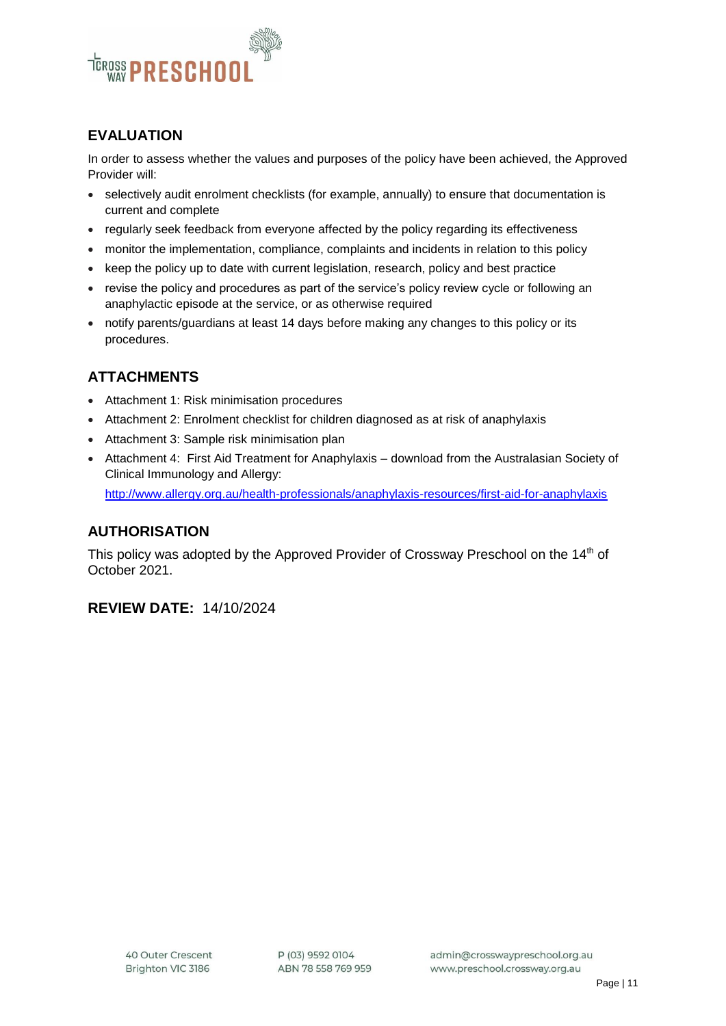

# **EVALUATION**

In order to assess whether the values and purposes of the policy have been achieved, the Approved Provider will:

- selectively audit enrolment checklists (for example, annually) to ensure that documentation is current and complete
- regularly seek feedback from everyone affected by the policy regarding its effectiveness
- monitor the implementation, compliance, complaints and incidents in relation to this policy
- keep the policy up to date with current legislation, research, policy and best practice
- revise the policy and procedures as part of the service's policy review cycle or following an anaphylactic episode at the service, or as otherwise required
- notify parents/guardians at least 14 days before making any changes to this policy or its procedures.

# **ATTACHMENTS**

- Attachment 1: Risk minimisation procedures
- Attachment 2: Enrolment checklist for children diagnosed as at risk of anaphylaxis
- Attachment 3: Sample risk minimisation plan
- Attachment 4: First Aid Treatment for Anaphylaxis download from the Australasian Society of Clinical Immunology and Allergy: <http://www.allergy.org.au/health-professionals/anaphylaxis-resources/first-aid-for-anaphylaxis>

#### **AUTHORISATION**

This policy was adopted by the Approved Provider of Crossway Preschool on the 14<sup>th</sup> of October 2021.

#### **REVIEW DATE:** 14/10/2024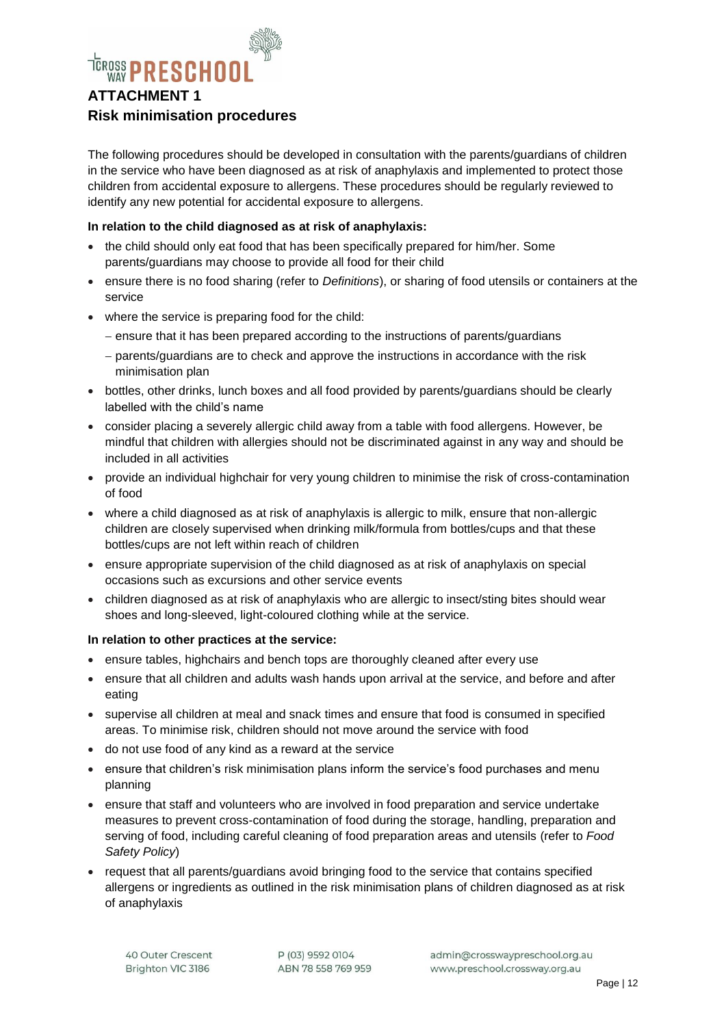

The following procedures should be developed in consultation with the parents/guardians of children in the service who have been diagnosed as at risk of anaphylaxis and implemented to protect those children from accidental exposure to allergens. These procedures should be regularly reviewed to identify any new potential for accidental exposure to allergens.

#### **In relation to the child diagnosed as at risk of anaphylaxis:**

- the child should only eat food that has been specifically prepared for him/her. Some parents/guardians may choose to provide all food for their child
- ensure there is no food sharing (refer to *Definitions*), or sharing of food utensils or containers at the service
- where the service is preparing food for the child:
	- ensure that it has been prepared according to the instructions of parents/guardians
	- parents/guardians are to check and approve the instructions in accordance with the risk minimisation plan
- bottles, other drinks, lunch boxes and all food provided by parents/guardians should be clearly labelled with the child's name
- consider placing a severely allergic child away from a table with food allergens. However, be mindful that children with allergies should not be discriminated against in any way and should be included in all activities
- provide an individual highchair for very young children to minimise the risk of cross-contamination of food
- where a child diagnosed as at risk of anaphylaxis is allergic to milk, ensure that non-allergic children are closely supervised when drinking milk/formula from bottles/cups and that these bottles/cups are not left within reach of children
- ensure appropriate supervision of the child diagnosed as at risk of anaphylaxis on special occasions such as excursions and other service events
- children diagnosed as at risk of anaphylaxis who are allergic to insect/sting bites should wear shoes and long-sleeved, light-coloured clothing while at the service.

#### **In relation to other practices at the service:**

- ensure tables, highchairs and bench tops are thoroughly cleaned after every use
- ensure that all children and adults wash hands upon arrival at the service, and before and after eating
- supervise all children at meal and snack times and ensure that food is consumed in specified areas. To minimise risk, children should not move around the service with food
- do not use food of any kind as a reward at the service
- ensure that children's risk minimisation plans inform the service's food purchases and menu planning
- ensure that staff and volunteers who are involved in food preparation and service undertake measures to prevent cross-contamination of food during the storage, handling, preparation and serving of food, including careful cleaning of food preparation areas and utensils (refer to *Food Safety Policy*)
- request that all parents/guardians avoid bringing food to the service that contains specified allergens or ingredients as outlined in the risk minimisation plans of children diagnosed as at risk of anaphylaxis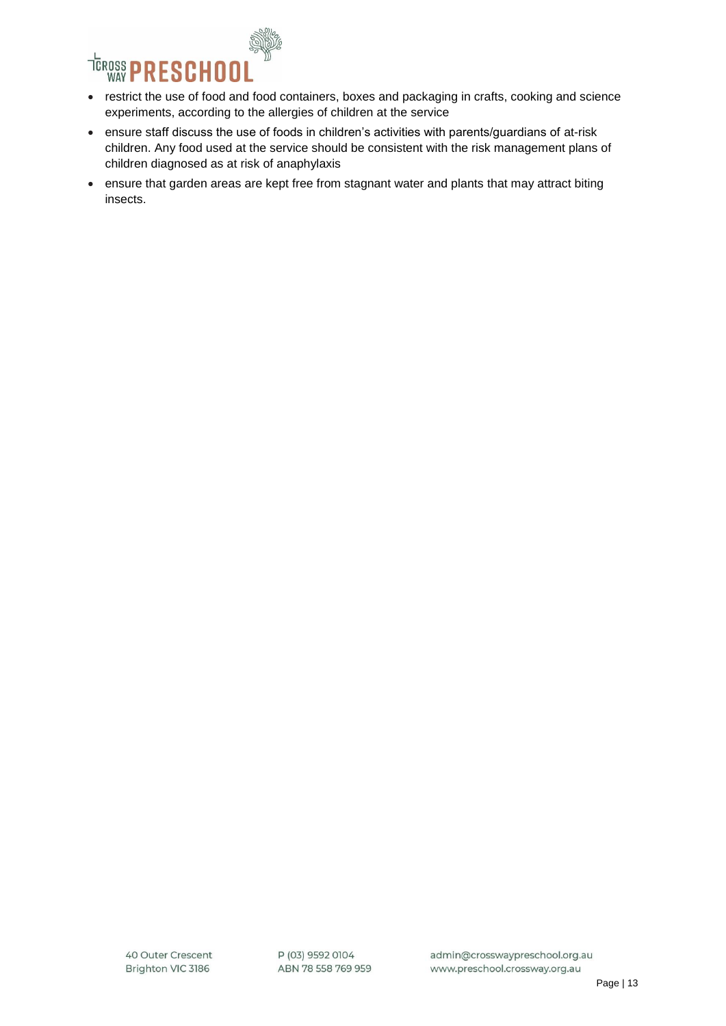

- restrict the use of food and food containers, boxes and packaging in crafts, cooking and science experiments, according to the allergies of children at the service
- ensure staff discuss the use of foods in children's activities with parents/guardians of at-risk children. Any food used at the service should be consistent with the risk management plans of children diagnosed as at risk of anaphylaxis
- ensure that garden areas are kept free from stagnant water and plants that may attract biting insects.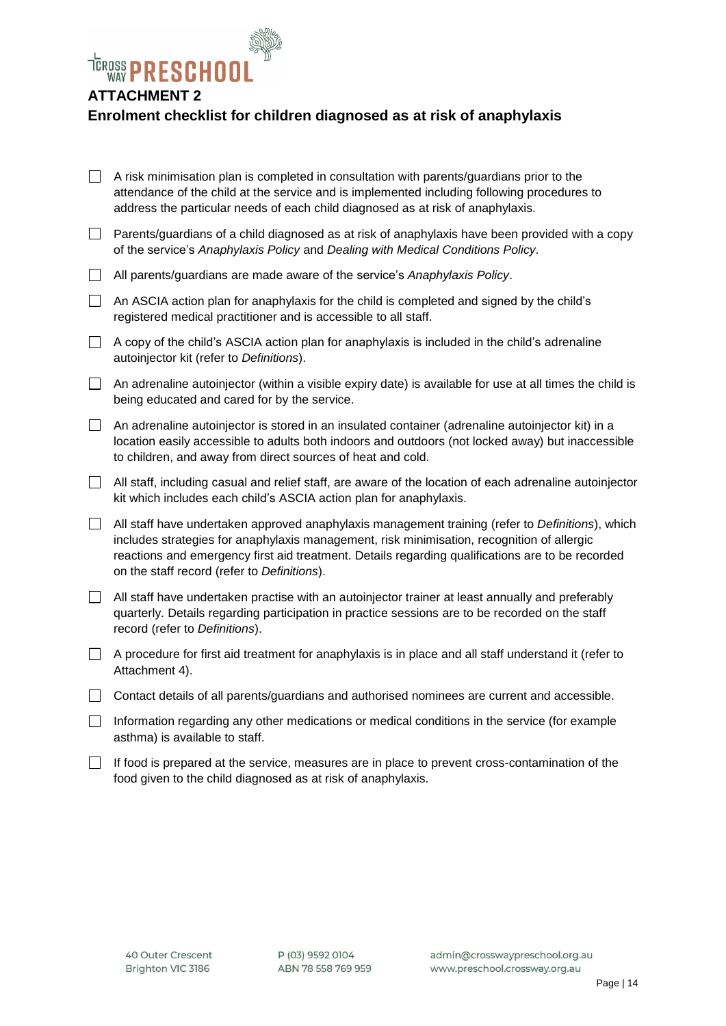

# **ATTACHMENT 2**

# **Enrolment checklist for children diagnosed as at risk of anaphylaxis**

| ப                        | A risk minimisation plan is completed in consultation with parents/guardians prior to the<br>attendance of the child at the service and is implemented including following procedures to<br>address the particular needs of each child diagnosed as at risk of anaphylaxis.                                                                       |
|--------------------------|---------------------------------------------------------------------------------------------------------------------------------------------------------------------------------------------------------------------------------------------------------------------------------------------------------------------------------------------------|
| $\overline{\phantom{a}}$ | Parents/guardians of a child diagnosed as at risk of anaphylaxis have been provided with a copy<br>of the service's Anaphylaxis Policy and Dealing with Medical Conditions Policy.                                                                                                                                                                |
| $\Box$                   | All parents/guardians are made aware of the service's Anaphylaxis Policy.                                                                                                                                                                                                                                                                         |
| $\Box$                   | An ASCIA action plan for anaphylaxis for the child is completed and signed by the child's<br>registered medical practitioner and is accessible to all staff.                                                                                                                                                                                      |
| $\Box$                   | A copy of the child's ASCIA action plan for anaphylaxis is included in the child's adrenaline<br>autoinjector kit (refer to Definitions).                                                                                                                                                                                                         |
| $\Box$                   | An adrenaline autoinjector (within a visible expiry date) is available for use at all times the child is<br>being educated and cared for by the service.                                                                                                                                                                                          |
| $\Box$                   | An adrenaline autoinjector is stored in an insulated container (adrenaline autoinjector kit) in a<br>location easily accessible to adults both indoors and outdoors (not locked away) but inaccessible<br>to children, and away from direct sources of heat and cold.                                                                             |
| $\Box$                   | All staff, including casual and relief staff, are aware of the location of each adrenaline autoinjector<br>kit which includes each child's ASCIA action plan for anaphylaxis.                                                                                                                                                                     |
| $\Box$                   | All staff have undertaken approved anaphylaxis management training (refer to Definitions), which<br>includes strategies for anaphylaxis management, risk minimisation, recognition of allergic<br>reactions and emergency first aid treatment. Details regarding qualifications are to be recorded<br>on the staff record (refer to Definitions). |
| $\Box$                   | All staff have undertaken practise with an autoinjector trainer at least annually and preferably<br>quarterly. Details regarding participation in practice sessions are to be recorded on the staff<br>record (refer to Definitions).                                                                                                             |
| $\Box$                   | A procedure for first aid treatment for anaphylaxis is in place and all staff understand it (refer to<br>Attachment 4).                                                                                                                                                                                                                           |
| $\Box$                   | Contact details of all parents/guardians and authorised nominees are current and accessible.                                                                                                                                                                                                                                                      |
| $\Box$                   | Information regarding any other medications or medical conditions in the service (for example<br>asthma) is available to staff.                                                                                                                                                                                                                   |
| $\overline{\phantom{0}}$ | $\sim$ $\sim$ $\sim$ $\sim$ $\sim$                                                                                                                                                                                                                                                                                                                |

 $\Box$  If food is prepared at the service, measures are in place to prevent cross-contamination of the food given to the child diagnosed as at risk of anaphylaxis.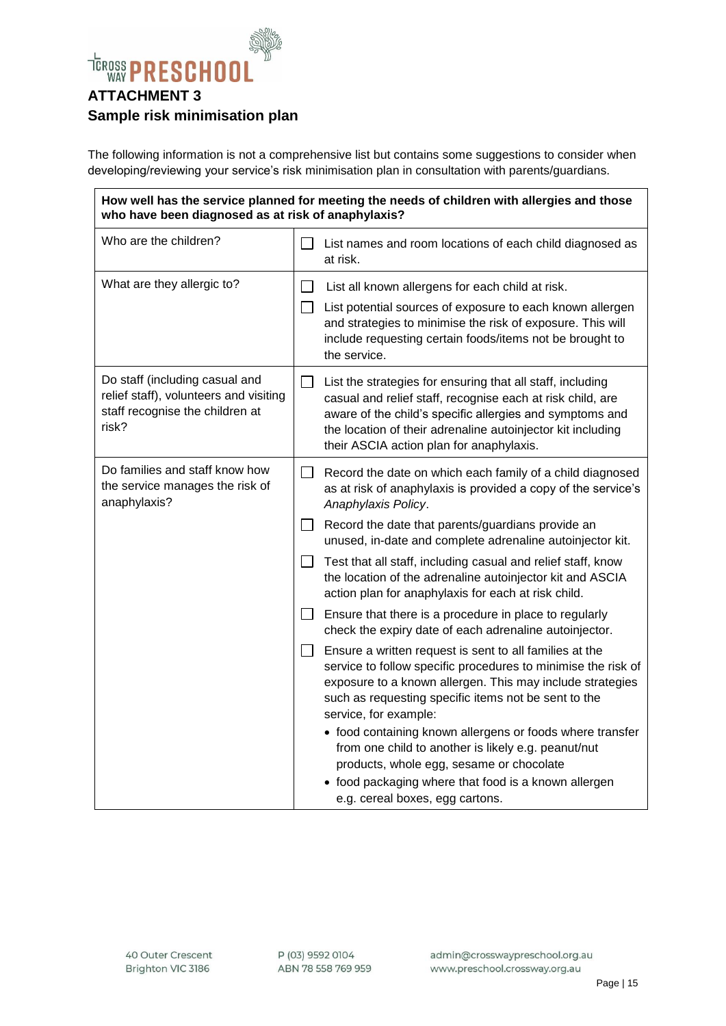

The following information is not a comprehensive list but contains some suggestions to consider when developing/reviewing your service's risk minimisation plan in consultation with parents/guardians.

| How well has the service planned for meeting the needs of children with allergies and those<br>who have been diagnosed as at risk of anaphylaxis? |                                                                                                                                                                                                                                                                                                                 |  |  |  |  |
|---------------------------------------------------------------------------------------------------------------------------------------------------|-----------------------------------------------------------------------------------------------------------------------------------------------------------------------------------------------------------------------------------------------------------------------------------------------------------------|--|--|--|--|
| Who are the children?                                                                                                                             | List names and room locations of each child diagnosed as<br>at risk.                                                                                                                                                                                                                                            |  |  |  |  |
| What are they allergic to?                                                                                                                        | List all known allergens for each child at risk.<br>$\Box$<br>$\perp$<br>List potential sources of exposure to each known allergen                                                                                                                                                                              |  |  |  |  |
|                                                                                                                                                   | and strategies to minimise the risk of exposure. This will<br>include requesting certain foods/items not be brought to<br>the service.                                                                                                                                                                          |  |  |  |  |
| Do staff (including casual and<br>relief staff), volunteers and visiting<br>staff recognise the children at<br>risk?                              | List the strategies for ensuring that all staff, including<br>$\mathsf{L}$<br>casual and relief staff, recognise each at risk child, are<br>aware of the child's specific allergies and symptoms and<br>the location of their adrenaline autoinjector kit including<br>their ASCIA action plan for anaphylaxis. |  |  |  |  |
| Do families and staff know how<br>the service manages the risk of<br>anaphylaxis?                                                                 | Record the date on which each family of a child diagnosed<br>$\perp$<br>as at risk of anaphylaxis is provided a copy of the service's<br>Anaphylaxis Policy.                                                                                                                                                    |  |  |  |  |
|                                                                                                                                                   | Record the date that parents/guardians provide an<br>unused, in-date and complete adrenaline autoinjector kit.                                                                                                                                                                                                  |  |  |  |  |
|                                                                                                                                                   | Test that all staff, including casual and relief staff, know<br>the location of the adrenaline autoinjector kit and ASCIA<br>action plan for anaphylaxis for each at risk child.                                                                                                                                |  |  |  |  |
|                                                                                                                                                   | Ensure that there is a procedure in place to regularly<br>$\perp$<br>check the expiry date of each adrenaline autoinjector.                                                                                                                                                                                     |  |  |  |  |
|                                                                                                                                                   | Ensure a written request is sent to all families at the<br>$\perp$<br>service to follow specific procedures to minimise the risk of<br>exposure to a known allergen. This may include strategies<br>such as requesting specific items not be sent to the<br>service, for example:                               |  |  |  |  |
|                                                                                                                                                   | • food containing known allergens or foods where transfer<br>from one child to another is likely e.g. peanut/nut<br>products, whole egg, sesame or chocolate                                                                                                                                                    |  |  |  |  |
|                                                                                                                                                   | food packaging where that food is a known allergen<br>e.g. cereal boxes, egg cartons.                                                                                                                                                                                                                           |  |  |  |  |

P (03) 9592 0104 ABN 78 558 769 959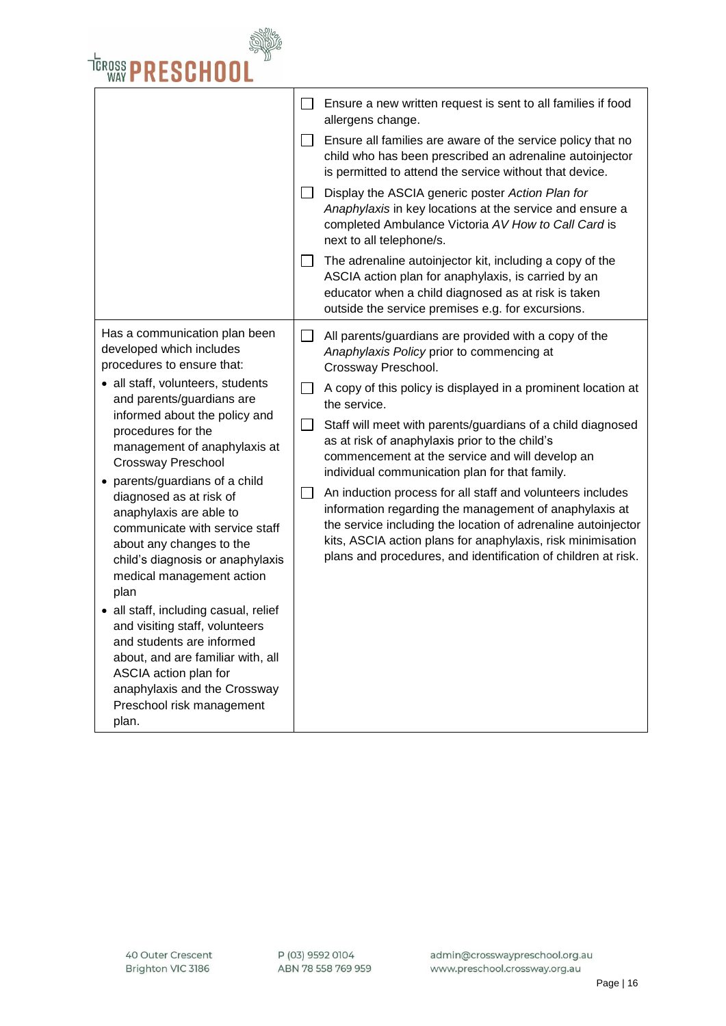

|                        | Ensure a new written request is sent to all families if food<br>allergens change.                                                                                                                                                                                                                                     |
|------------------------|-----------------------------------------------------------------------------------------------------------------------------------------------------------------------------------------------------------------------------------------------------------------------------------------------------------------------|
| $\mathsf{L}$           | Ensure all families are aware of the service policy that no<br>child who has been prescribed an adrenaline autoinjector<br>is permitted to attend the service without that device.                                                                                                                                    |
|                        | Display the ASCIA generic poster Action Plan for<br>Anaphylaxis in key locations at the service and ensure a<br>completed Ambulance Victoria AV How to Call Card is<br>next to all telephone/s.                                                                                                                       |
| ⊔                      | The adrenaline autoinjector kit, including a copy of the<br>ASCIA action plan for anaphylaxis, is carried by an<br>educator when a child diagnosed as at risk is taken<br>outside the service premises e.g. for excursions.                                                                                           |
|                        | All parents/guardians are provided with a copy of the<br>Anaphylaxis Policy prior to commencing at<br>Crossway Preschool.                                                                                                                                                                                             |
|                        | A copy of this policy is displayed in a prominent location at<br>the service.                                                                                                                                                                                                                                         |
| $\Box$<br>$\mathsf{L}$ | Staff will meet with parents/guardians of a child diagnosed<br>as at risk of anaphylaxis prior to the child's<br>commencement at the service and will develop an<br>individual communication plan for that family.                                                                                                    |
|                        | An induction process for all staff and volunteers includes<br>information regarding the management of anaphylaxis at<br>the service including the location of adrenaline autoinjector<br>kits, ASCIA action plans for anaphylaxis, risk minimisation<br>plans and procedures, and identification of children at risk. |
|                        |                                                                                                                                                                                                                                                                                                                       |
|                        |                                                                                                                                                                                                                                                                                                                       |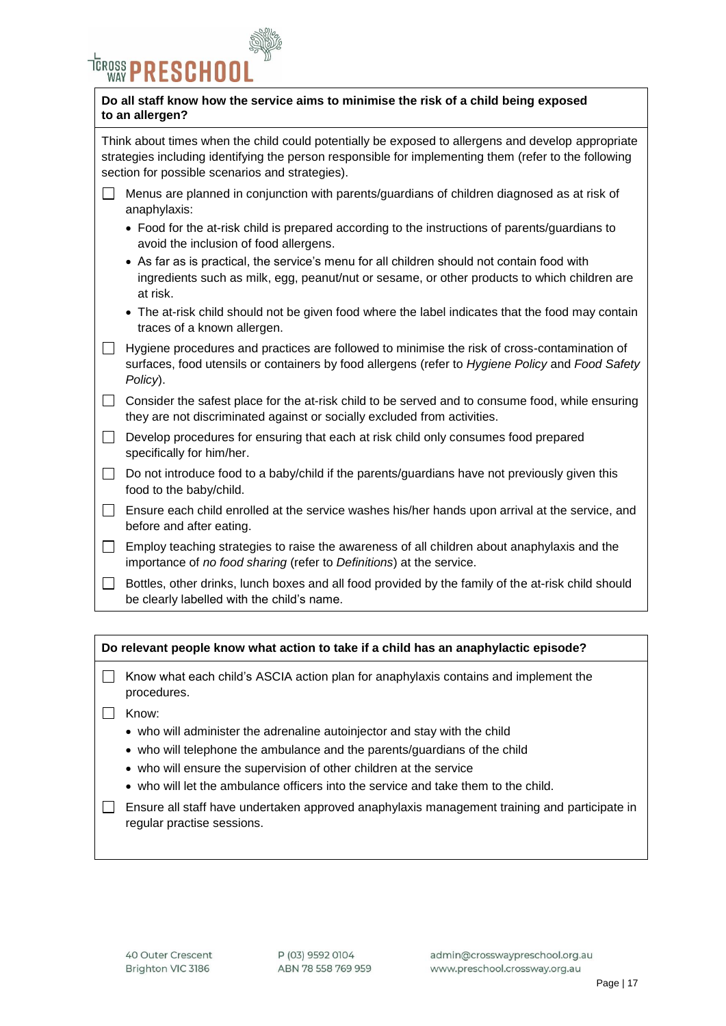

#### **Do all staff know how the service aims to minimise the risk of a child being exposed to an allergen?**

Think about times when the child could potentially be exposed to allergens and develop appropriate strategies including identifying the person responsible for implementing them (refer to the following section for possible scenarios and strategies).

- Menus are planned in conjunction with parents/guardians of children diagnosed as at risk of anaphylaxis:
	- Food for the at-risk child is prepared according to the instructions of parents/guardians to avoid the inclusion of food allergens.
	- As far as is practical, the service's menu for all children should not contain food with ingredients such as milk, egg, peanut/nut or sesame, or other products to which children are at risk.
	- The at-risk child should not be given food where the label indicates that the food may contain traces of a known allergen.
- $\Box$  Hygiene procedures and practices are followed to minimise the risk of cross-contamination of surfaces, food utensils or containers by food allergens (refer to *Hygiene Policy* and *Food Safety Policy*).
- $\Box$  Consider the safest place for the at-risk child to be served and to consume food, while ensuring they are not discriminated against or socially excluded from activities.
- $\Box$  Develop procedures for ensuring that each at risk child only consumes food prepared specifically for him/her.
- $\Box$  Do not introduce food to a baby/child if the parents/guardians have not previously given this food to the baby/child.
- $\Box$  Ensure each child enrolled at the service washes his/her hands upon arrival at the service, and before and after eating.
- $\Box$  Employ teaching strategies to raise the awareness of all children about anaphylaxis and the importance of *no food sharing* (refer to *Definitions*) at the service.
- $\Box$  Bottles, other drinks, lunch boxes and all food provided by the family of the at-risk child should be clearly labelled with the child's name.

#### **Do relevant people know what action to take if a child has an anaphylactic episode?**

- $\Box$  Know what each child's ASCIA action plan for anaphylaxis contains and implement the procedures.
- □ Know:
	- who will administer the adrenaline autoinjector and stay with the child
	- who will telephone the ambulance and the parents/guardians of the child
	- who will ensure the supervision of other children at the service
	- who will let the ambulance officers into the service and take them to the child.
- $\Box$  Ensure all staff have undertaken approved anaphylaxis management training and participate in regular practise sessions.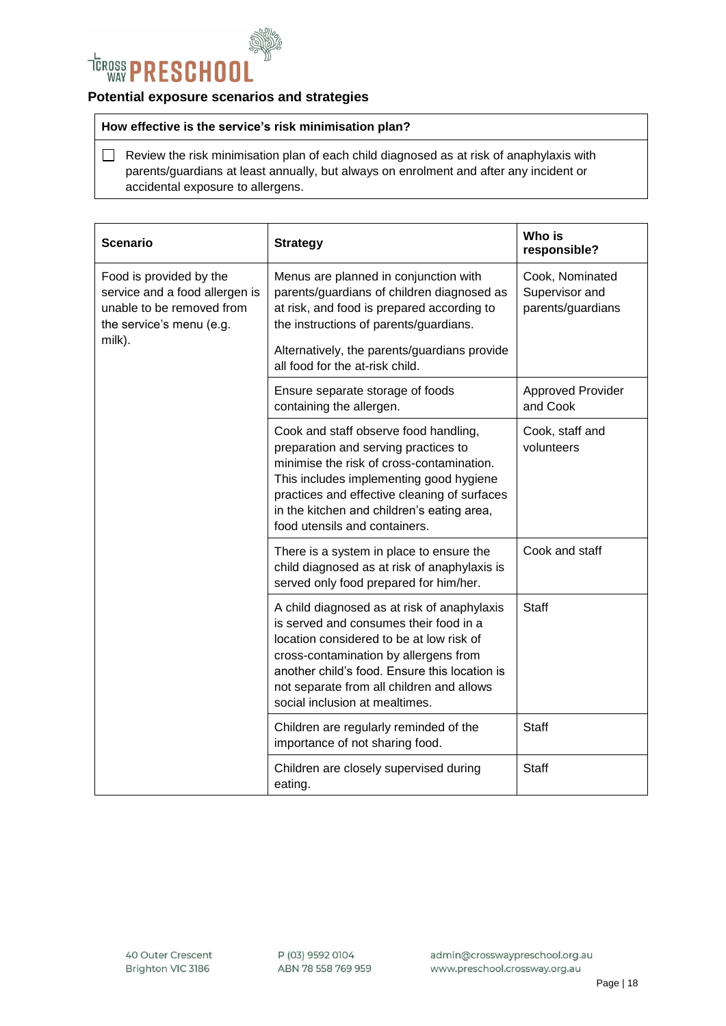

#### **Potential exposure scenarios and strategies**

#### **How effective is the service's risk minimisation plan?**

 $\Box$  Review the risk minimisation plan of each child diagnosed as at risk of anaphylaxis with parents/guardians at least annually, but always on enrolment and after any incident or accidental exposure to allergens.

| <b>Scenario</b>                                                                                                    | <b>Strategy</b>                                                                                                                                                                                                                                                                                            | Who is<br>responsible?                                 |
|--------------------------------------------------------------------------------------------------------------------|------------------------------------------------------------------------------------------------------------------------------------------------------------------------------------------------------------------------------------------------------------------------------------------------------------|--------------------------------------------------------|
| Food is provided by the<br>service and a food allergen is<br>unable to be removed from<br>the service's menu (e.g. | Menus are planned in conjunction with<br>parents/guardians of children diagnosed as<br>at risk, and food is prepared according to<br>the instructions of parents/guardians.                                                                                                                                | Cook, Nominated<br>Supervisor and<br>parents/guardians |
| milk).                                                                                                             | Alternatively, the parents/guardians provide<br>all food for the at-risk child.                                                                                                                                                                                                                            |                                                        |
|                                                                                                                    | Ensure separate storage of foods<br>containing the allergen.                                                                                                                                                                                                                                               | <b>Approved Provider</b><br>and Cook                   |
|                                                                                                                    | Cook and staff observe food handling,<br>preparation and serving practices to<br>minimise the risk of cross-contamination.<br>This includes implementing good hygiene<br>practices and effective cleaning of surfaces<br>in the kitchen and children's eating area,<br>food utensils and containers.       | Cook, staff and<br>volunteers                          |
|                                                                                                                    | There is a system in place to ensure the<br>child diagnosed as at risk of anaphylaxis is<br>served only food prepared for him/her.                                                                                                                                                                         | Cook and staff                                         |
|                                                                                                                    | A child diagnosed as at risk of anaphylaxis<br>is served and consumes their food in a<br>location considered to be at low risk of<br>cross-contamination by allergens from<br>another child's food. Ensure this location is<br>not separate from all children and allows<br>social inclusion at mealtimes. | <b>Staff</b>                                           |
|                                                                                                                    | Children are regularly reminded of the<br>importance of not sharing food.                                                                                                                                                                                                                                  | <b>Staff</b>                                           |
|                                                                                                                    | Children are closely supervised during<br>eating.                                                                                                                                                                                                                                                          | Staff                                                  |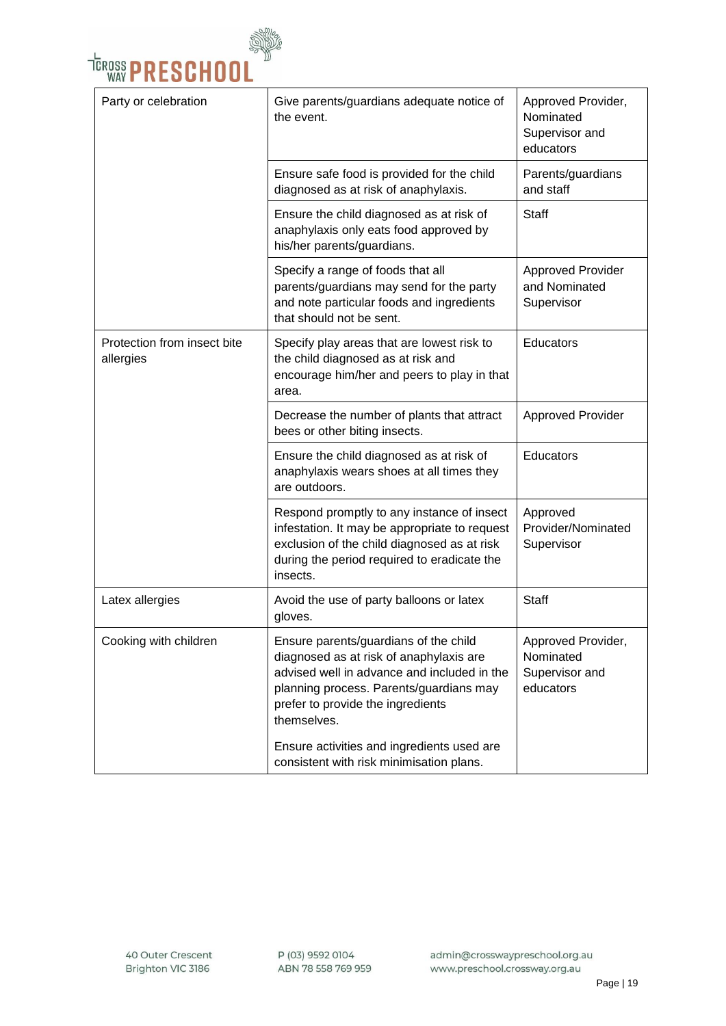

| Party or celebration                     | Give parents/guardians adequate notice of<br>the event.                                                                                                                                                                                                                      | Approved Provider,<br>Nominated<br>Supervisor and<br>educators |
|------------------------------------------|------------------------------------------------------------------------------------------------------------------------------------------------------------------------------------------------------------------------------------------------------------------------------|----------------------------------------------------------------|
|                                          | Ensure safe food is provided for the child<br>diagnosed as at risk of anaphylaxis.                                                                                                                                                                                           | Parents/guardians<br>and staff                                 |
|                                          | Ensure the child diagnosed as at risk of<br>anaphylaxis only eats food approved by<br>his/her parents/guardians.                                                                                                                                                             | <b>Staff</b>                                                   |
|                                          | Specify a range of foods that all<br>parents/guardians may send for the party<br>and note particular foods and ingredients<br>that should not be sent.                                                                                                                       | <b>Approved Provider</b><br>and Nominated<br>Supervisor        |
| Protection from insect bite<br>allergies | Specify play areas that are lowest risk to<br>the child diagnosed as at risk and<br>encourage him/her and peers to play in that<br>area.                                                                                                                                     | Educators                                                      |
|                                          | Decrease the number of plants that attract<br>bees or other biting insects.                                                                                                                                                                                                  | <b>Approved Provider</b>                                       |
|                                          | Ensure the child diagnosed as at risk of<br>anaphylaxis wears shoes at all times they<br>are outdoors.                                                                                                                                                                       | Educators                                                      |
|                                          | Respond promptly to any instance of insect<br>infestation. It may be appropriate to request<br>exclusion of the child diagnosed as at risk<br>during the period required to eradicate the<br>insects.                                                                        | Approved<br>Provider/Nominated<br>Supervisor                   |
| Latex allergies                          | Avoid the use of party balloons or latex<br>gloves.                                                                                                                                                                                                                          | Staff                                                          |
| Cooking with children                    | Ensure parents/guardians of the child<br>diagnosed as at risk of anaphylaxis are<br>advised well in advance and included in the<br>planning process. Parents/guardians may<br>prefer to provide the ingredients<br>themselves.<br>Ensure activities and ingredients used are | Approved Provider,<br>Nominated<br>Supervisor and<br>educators |
|                                          | consistent with risk minimisation plans.                                                                                                                                                                                                                                     |                                                                |